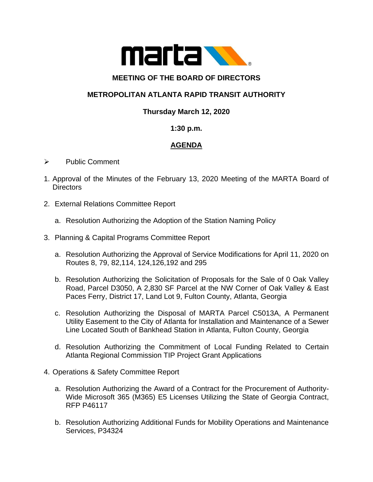

### **MEETING OF THE BOARD OF DIRECTORS**

# **METROPOLITAN ATLANTA RAPID TRANSIT AUTHORITY**

### **Thursday March 12, 2020**

#### **1:30 p.m.**

# **AGENDA**

#### ➢ Public Comment

- 1. Approval of the Minutes of the February 13, 2020 Meeting of the MARTA Board of **Directors**
- 2. External Relations Committee Report
	- a. Resolution Authorizing the Adoption of the Station Naming Policy
- 3. Planning & Capital Programs Committee Report
	- a. Resolution Authorizing the Approval of Service Modifications for April 11, 2020 on Routes 8, 79, 82,114, 124,126,192 and 295
	- b. Resolution Authorizing the Solicitation of Proposals for the Sale of 0 Oak Valley Road, Parcel D3050, A 2,830 SF Parcel at the NW Corner of Oak Valley & East Paces Ferry, District 17, Land Lot 9, Fulton County, Atlanta, Georgia
	- c. Resolution Authorizing the Disposal of MARTA Parcel C5013A, A Permanent Utility Easement to the City of Atlanta for Installation and Maintenance of a Sewer Line Located South of Bankhead Station in Atlanta, Fulton County, Georgia
	- d. Resolution Authorizing the Commitment of Local Funding Related to Certain Atlanta Regional Commission TIP Project Grant Applications
- 4. Operations & Safety Committee Report
	- a. Resolution Authorizing the Award of a Contract for the Procurement of Authority-Wide Microsoft 365 (M365) E5 Licenses Utilizing the State of Georgia Contract, RFP P46117
	- b. Resolution Authorizing Additional Funds for Mobility Operations and Maintenance Services, P34324